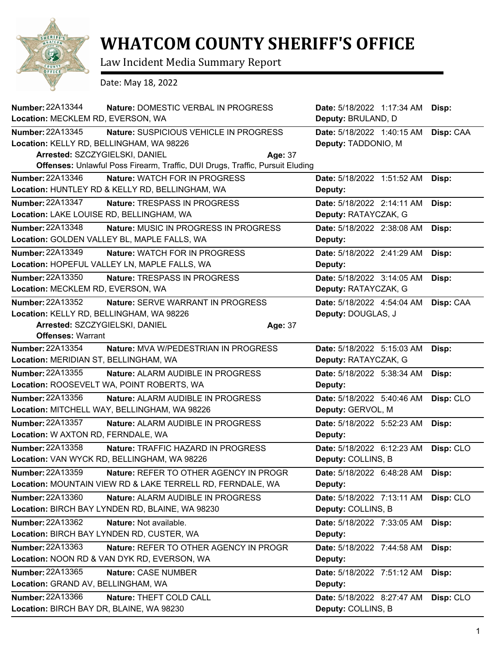

## **WHATCOM COUNTY SHERIFF'S OFFICE**

Law Incident Media Summary Report

Date: May 18, 2022

| Number: 22A13344<br>Location: MECKLEM RD, EVERSON, WA                                                                      | Nature: DOMESTIC VERBAL IN PROGRESS                                                                                                | Date: 5/18/2022 1:17:34 AM<br>Deputy: BRULAND, D   | Disp:     |
|----------------------------------------------------------------------------------------------------------------------------|------------------------------------------------------------------------------------------------------------------------------------|----------------------------------------------------|-----------|
| <b>Number: 22A13345</b><br>Location: KELLY RD, BELLINGHAM, WA 98226<br>Arrested: SZCZYGIELSKI, DANIEL                      | Nature: SUSPICIOUS VEHICLE IN PROGRESS<br>Age: 37<br>Offenses: Unlawful Poss Firearm, Traffic, DUI Drugs, Traffic, Pursuit Eluding | Date: 5/18/2022 1:40:15 AM<br>Deputy: TADDONIO, M  | Disp: CAA |
| <b>Number: 22A13346</b>                                                                                                    | Nature: WATCH FOR IN PROGRESS<br>Location: HUNTLEY RD & KELLY RD, BELLINGHAM, WA                                                   | Date: 5/18/2022 1:51:52 AM<br>Deputy:              | Disp:     |
| <b>Number: 22A13347</b><br>Location: LAKE LOUISE RD, BELLINGHAM, WA                                                        | Nature: TRESPASS IN PROGRESS                                                                                                       | Date: 5/18/2022 2:14:11 AM<br>Deputy: RATAYCZAK, G | Disp:     |
| Number: 22A13348                                                                                                           | <b>Nature: MUSIC IN PROGRESS IN PROGRESS</b><br>Location: GOLDEN VALLEY BL, MAPLE FALLS, WA                                        | Date: 5/18/2022 2:38:08 AM<br>Deputy:              | Disp:     |
| Number: 22A13349                                                                                                           | <b>Nature: WATCH FOR IN PROGRESS</b><br>Location: HOPEFUL VALLEY LN, MAPLE FALLS, WA                                               | Date: 5/18/2022 2:41:29 AM<br>Deputy:              | Disp:     |
| <b>Number: 22A13350</b><br>Location: MECKLEM RD, EVERSON, WA                                                               | Nature: TRESPASS IN PROGRESS                                                                                                       | Date: 5/18/2022 3:14:05 AM<br>Deputy: RATAYCZAK, G | Disp:     |
| Number: 22A13352<br>Location: KELLY RD, BELLINGHAM, WA 98226<br>Arrested: SZCZYGIELSKI, DANIEL<br><b>Offenses: Warrant</b> | Nature: SERVE WARRANT IN PROGRESS<br>Age: 37                                                                                       | Date: 5/18/2022 4:54:04 AM<br>Deputy: DOUGLAS, J   | Disp: CAA |
| Number: 22A13354<br>Location: MERIDIAN ST, BELLINGHAM, WA                                                                  | Nature: MVA W/PEDESTRIAN IN PROGRESS                                                                                               | Date: 5/18/2022 5:15:03 AM<br>Deputy: RATAYCZAK, G | Disp:     |
| Number: 22A13355<br>Location: ROOSEVELT WA, POINT ROBERTS, WA                                                              | Nature: ALARM AUDIBLE IN PROGRESS                                                                                                  | Date: 5/18/2022 5:38:34 AM<br>Deputy:              | Disp:     |
| Number: 22A13356                                                                                                           | Nature: ALARM AUDIBLE IN PROGRESS<br>Location: MITCHELL WAY, BELLINGHAM, WA 98226                                                  | Date: 5/18/2022 5:40:46 AM<br>Deputy: GERVOL, M    | Disp: CLO |
| <b>Number: 22A13357</b><br>Location: W AXTON RD, FERNDALE, WA                                                              | <b>Nature: ALARM AUDIBLE IN PROGRESS</b>                                                                                           | Date: 5/18/2022 5:52:23 AM<br>Deputy:              | Disp:     |
| <b>Number: 22A13358</b><br>Location: VAN WYCK RD, BELLINGHAM, WA 98226                                                     | Nature: TRAFFIC HAZARD IN PROGRESS                                                                                                 | Date: 5/18/2022 6:12:23 AM<br>Deputy: COLLINS, B   | Disp: CLO |
| Number: 22A13359                                                                                                           | Nature: REFER TO OTHER AGENCY IN PROGR<br>Location: MOUNTAIN VIEW RD & LAKE TERRELL RD, FERNDALE, WA                               | Date: 5/18/2022 6:48:28 AM<br>Deputy:              | Disp:     |
| Number: 22A13360                                                                                                           | <b>Nature: ALARM AUDIBLE IN PROGRESS</b><br>Location: BIRCH BAY LYNDEN RD, BLAINE, WA 98230                                        | Date: 5/18/2022 7:13:11 AM<br>Deputy: COLLINS, B   | Disp: CLO |
| Number: 22A13362<br>Location: BIRCH BAY LYNDEN RD, CUSTER, WA                                                              | Nature: Not available.                                                                                                             | Date: 5/18/2022 7:33:05 AM<br>Deputy:              | Disp:     |
| Number: 22A13363                                                                                                           | Nature: REFER TO OTHER AGENCY IN PROGR<br>Location: NOON RD & VAN DYK RD, EVERSON, WA                                              | Date: 5/18/2022 7:44:58 AM<br>Deputy:              | Disp:     |
| Number: 22A13365<br>Location: GRAND AV, BELLINGHAM, WA                                                                     | Nature: CASE NUMBER                                                                                                                | Date: 5/18/2022 7:51:12 AM<br>Deputy:              | Disp:     |
| Number: 22A13366<br>Location: BIRCH BAY DR, BLAINE, WA 98230                                                               | Nature: THEFT COLD CALL                                                                                                            | Date: 5/18/2022 8:27:47 AM<br>Deputy: COLLINS, B   | Disp: CLO |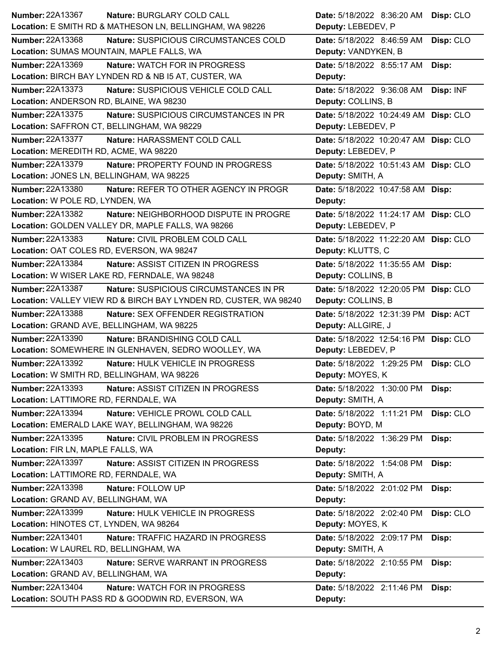| Number: 22A13367<br>Nature: BURGLARY COLD CALL                           | Date: 5/18/2022 8:36:20 AM<br>Disp: CLO |
|--------------------------------------------------------------------------|-----------------------------------------|
| Location: E SMITH RD & MATHESON LN, BELLINGHAM, WA 98226                 | Deputy: LEBEDEV, P                      |
| <b>Number: 22A13368</b><br>Nature: SUSPICIOUS CIRCUMSTANCES COLD         | Date: 5/18/2022 8:46:59 AM<br>Disp: CLO |
| Location: SUMAS MOUNTAIN, MAPLE FALLS, WA                                | Deputy: VANDYKEN, B                     |
| Number: 22A13369<br><b>Nature: WATCH FOR IN PROGRESS</b>                 | Date: 5/18/2022 8:55:17 AM<br>Disp:     |
| Location: BIRCH BAY LYNDEN RD & NB I5 AT, CUSTER, WA                     | Deputy:                                 |
| <b>Number: 22A13373</b><br>Nature: SUSPICIOUS VEHICLE COLD CALL          | Disp: INF<br>Date: 5/18/2022 9:36:08 AM |
| Location: ANDERSON RD, BLAINE, WA 98230                                  | Deputy: COLLINS, B                      |
| Number: 22A13375<br>Nature: SUSPICIOUS CIRCUMSTANCES IN PR               | Date: 5/18/2022 10:24:49 AM Disp: CLO   |
| Location: SAFFRON CT, BELLINGHAM, WA 98229                               | Deputy: LEBEDEV, P                      |
| <b>Number: 22A13377</b><br>Nature: HARASSMENT COLD CALL                  | Date: 5/18/2022 10:20:47 AM Disp: CLO   |
| Location: MEREDITH RD, ACME, WA 98220                                    | Deputy: LEBEDEV, P                      |
| <b>Number: 22A13379</b><br>Nature: PROPERTY FOUND IN PROGRESS            | Date: 5/18/2022 10:51:43 AM Disp: CLO   |
| Location: JONES LN, BELLINGHAM, WA 98225                                 | Deputy: SMITH, A                        |
| Number: 22A13380<br>Nature: REFER TO OTHER AGENCY IN PROGR               | Date: 5/18/2022 10:47:58 AM Disp:       |
| Location: W POLE RD, LYNDEN, WA                                          | Deputy:                                 |
| <b>Number: 22A13382</b><br>Nature: NEIGHBORHOOD DISPUTE IN PROGRE        | Date: 5/18/2022 11:24:17 AM Disp: CLO   |
| Location: GOLDEN VALLEY DR, MAPLE FALLS, WA 98266                        | Deputy: LEBEDEV, P                      |
| Number: 22A13383<br>Nature: CIVIL PROBLEM COLD CALL                      | Date: 5/18/2022 11:22:20 AM Disp: CLO   |
| Location: OAT COLES RD, EVERSON, WA 98247                                | Deputy: KLUTTS, C                       |
| <b>Number: 22A13384</b><br><b>Nature: ASSIST CITIZEN IN PROGRESS</b>     | Date: 5/18/2022 11:35:55 AM Disp:       |
| Location: W WISER LAKE RD, FERNDALE, WA 98248                            | Deputy: COLLINS, B                      |
| <b>Number: 22A13387</b><br><b>Nature: SUSPICIOUS CIRCUMSTANCES IN PR</b> | Date: 5/18/2022 12:20:05 PM Disp: CLO   |
| Location: VALLEY VIEW RD & BIRCH BAY LYNDEN RD, CUSTER, WA 98240         | Deputy: COLLINS, B                      |
| Number: 22A13388<br>Nature: SEX OFFENDER REGISTRATION                    | Date: 5/18/2022 12:31:39 PM Disp: ACT   |
| Location: GRAND AVE, BELLINGHAM, WA 98225                                | Deputy: ALLGIRE, J                      |
| Number: 22A13390<br>Nature: BRANDISHING COLD CALL                        | Date: 5/18/2022 12:54:16 PM Disp: CLO   |
| Location: SOMEWHERE IN GLENHAVEN, SEDRO WOOLLEY, WA                      | Deputy: LEBEDEV, P                      |
| Number: 22A13392<br>Nature: HULK VEHICLE IN PROGRESS                     | Date: 5/18/2022 1:29:25 PM<br>Disp: CLO |
| Location: W SMITH RD, BELLINGHAM, WA 98226                               | Deputy: MOYES, K                        |
| Number: 22A13393<br>Nature: ASSIST CITIZEN IN PROGRESS                   | Date: 5/18/2022 1:30:00 PM Disp:        |
| Location: LATTIMORE RD, FERNDALE, WA                                     | Deputy: SMITH, A                        |
| Number: 22A13394<br>Nature: VEHICLE PROWL COLD CALL                      | Date: 5/18/2022 1:11:21 PM<br>Disp: CLO |
| Location: EMERALD LAKE WAY, BELLINGHAM, WA 98226                         |                                         |
|                                                                          | Deputy: BOYD, M                         |
| Number: 22A13395<br>Nature: CIVIL PROBLEM IN PROGRESS                    | Date: 5/18/2022 1:36:29 PM<br>Disp:     |
| Location: FIR LN, MAPLE FALLS, WA                                        | Deputy:                                 |
| <b>Number: 22A13397</b><br>Nature: ASSIST CITIZEN IN PROGRESS            | Date: 5/18/2022 1:54:08 PM<br>Disp:     |
| Location: LATTIMORE RD, FERNDALE, WA                                     | Deputy: SMITH, A                        |
| Number: 22A13398<br>Nature: FOLLOW UP                                    | Date: 5/18/2022 2:01:02 PM<br>Disp:     |
| Location: GRAND AV, BELLINGHAM, WA                                       | Deputy:                                 |
| Number: 22A13399<br>Nature: HULK VEHICLE IN PROGRESS                     | Disp: CLO<br>Date: 5/18/2022 2:02:40 PM |
| Location: HINOTES CT, LYNDEN, WA 98264                                   | Deputy: MOYES, K                        |
| Number: 22A13401<br>Nature: TRAFFIC HAZARD IN PROGRESS                   | Date: 5/18/2022 2:09:17 PM<br>Disp:     |
| Location: W LAUREL RD, BELLINGHAM, WA                                    | Deputy: SMITH, A                        |
| Number: 22A13403<br><b>Nature: SERVE WARRANT IN PROGRESS</b>             | Date: 5/18/2022 2:10:55 PM<br>Disp:     |
| Location: GRAND AV, BELLINGHAM, WA                                       | Deputy:                                 |
| <b>Number: 22A13404</b><br>Nature: WATCH FOR IN PROGRESS                 | Date: 5/18/2022 2:11:46 PM<br>Disp:     |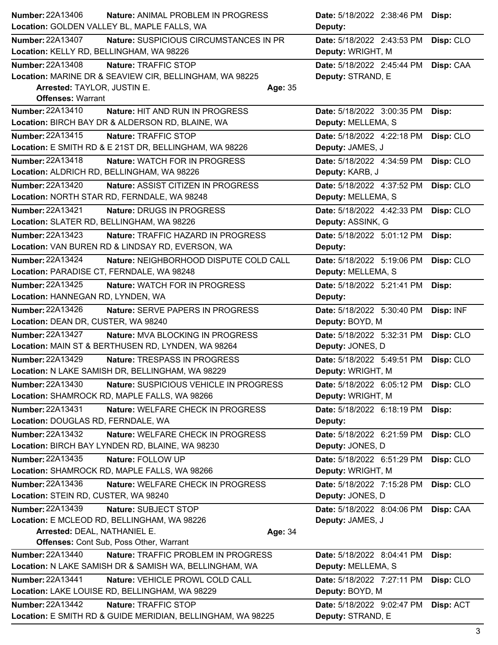| Number: 22A13406                         | Nature: ANIMAL PROBLEM IN PROGRESS                          | Date: 5/18/2022 2:38:46 PM           | Disp:     |
|------------------------------------------|-------------------------------------------------------------|--------------------------------------|-----------|
|                                          | Location: GOLDEN VALLEY BL, MAPLE FALLS, WA                 | Deputy:                              |           |
| Number: 22A13407                         | Nature: SUSPICIOUS CIRCUMSTANCES IN PR                      | Date: 5/18/2022 2:43:53 PM           | Disp: CLO |
| Location: KELLY RD, BELLINGHAM, WA 98226 |                                                             | Deputy: WRIGHT, M                    |           |
| <b>Number: 22A13408</b>                  | Nature: TRAFFIC STOP                                        | Date: 5/18/2022 2:45:44 PM Disp: CAA |           |
|                                          | Location: MARINE DR & SEAVIEW CIR, BELLINGHAM, WA 98225     | Deputy: STRAND, E                    |           |
| Arrested: TAYLOR, JUSTIN E.              | Age: 35                                                     |                                      |           |
| <b>Offenses: Warrant</b>                 |                                                             |                                      |           |
| Number: 22A13410                         | Nature: HIT AND RUN IN PROGRESS                             | Date: 5/18/2022 3:00:35 PM           | Disp:     |
|                                          | Location: BIRCH BAY DR & ALDERSON RD, BLAINE, WA            | Deputy: MELLEMA, S                   |           |
| <b>Number: 22A13415</b>                  | Nature: TRAFFIC STOP                                        | Date: 5/18/2022 4:22:18 PM           | Disp: CLO |
|                                          | Location: E SMITH RD & E 21ST DR, BELLINGHAM, WA 98226      | Deputy: JAMES, J                     |           |
| Number: 22A13418                         | Nature: WATCH FOR IN PROGRESS                               | Date: 5/18/2022 4:34:59 PM           | Disp: CLO |
|                                          | Location: ALDRICH RD, BELLINGHAM, WA 98226                  | Deputy: KARB, J                      |           |
|                                          |                                                             |                                      |           |
| <b>Number: 22A13420</b>                  | Nature: ASSIST CITIZEN IN PROGRESS                          | Date: 5/18/2022 4:37:52 PM           | Disp: CLO |
|                                          | Location: NORTH STAR RD, FERNDALE, WA 98248                 | Deputy: MELLEMA, S                   |           |
| Number: 22A13421                         | Nature: DRUGS IN PROGRESS                                   | Date: 5/18/2022 4:42:33 PM           | Disp: CLO |
|                                          | Location: SLATER RD, BELLINGHAM, WA 98226                   | Deputy: ASSINK, G                    |           |
| <b>Number: 22A13423</b>                  | Nature: TRAFFIC HAZARD IN PROGRESS                          | Date: 5/18/2022 5:01:12 PM           | Disp:     |
|                                          | Location: VAN BUREN RD & LINDSAY RD, EVERSON, WA            | Deputy:                              |           |
| <b>Number: 22A13424</b>                  | Nature: NEIGHBORHOOD DISPUTE COLD CALL                      | Date: 5/18/2022 5:19:06 PM           | Disp: CLO |
|                                          | Location: PARADISE CT, FERNDALE, WA 98248                   | Deputy: MELLEMA, S                   |           |
| <b>Number: 22A13425</b>                  | Nature: WATCH FOR IN PROGRESS                               | Date: 5/18/2022 5:21:41 PM           | Disp:     |
| Location: HANNEGAN RD, LYNDEN, WA        |                                                             | Deputy:                              |           |
| <b>Number: 22A13426</b>                  | <b>Nature: SERVE PAPERS IN PROGRESS</b>                     | Date: 5/18/2022 5:30:40 PM           | Disp: INF |
| Location: DEAN DR, CUSTER, WA 98240      |                                                             | Deputy: BOYD, M                      |           |
| Number: 22A13427                         | Nature: MVA BLOCKING IN PROGRESS                            | Date: 5/18/2022 5:32:31 PM           | Disp: CLO |
|                                          | Location: MAIN ST & BERTHUSEN RD, LYNDEN, WA 98264          | Deputy: JONES, D                     |           |
| Number: 22A13429                         | Nature: TRESPASS IN PROGRESS                                | Date: 5/18/2022 5:49:51 PM           | Disp: CLO |
|                                          | Location: N LAKE SAMISH DR, BELLINGHAM, WA 98229            | Deputy: WRIGHT, M                    |           |
| Number: 22A13430                         | Nature: SUSPICIOUS VEHICLE IN PROGRESS                      | Date: 5/18/2022 6:05:12 PM           |           |
|                                          | Location: SHAMROCK RD, MAPLE FALLS, WA 98266                | Deputy: WRIGHT, M                    | Disp: CLO |
|                                          |                                                             |                                      |           |
| <b>Number: 22A13431</b>                  | Nature: WELFARE CHECK IN PROGRESS                           | Date: 5/18/2022 6:18:19 PM           | Disp:     |
| Location: DOUGLAS RD, FERNDALE, WA       |                                                             | Deputy:                              |           |
| <b>Number: 22A13432</b>                  | Nature: WELFARE CHECK IN PROGRESS                           | Date: 5/18/2022 6:21:59 PM           | Disp: CLO |
|                                          | Location: BIRCH BAY LYNDEN RD, BLAINE, WA 98230             | Deputy: JONES, D                     |           |
| <b>Number: 22A13435</b>                  | Nature: FOLLOW UP                                           | Date: 5/18/2022 6:51:29 PM           | Disp: CLO |
|                                          | Location: SHAMROCK RD, MAPLE FALLS, WA 98266                | Deputy: WRIGHT, M                    |           |
| Number: 22A13436                         | Nature: WELFARE CHECK IN PROGRESS                           | Date: 5/18/2022 7:15:28 PM           | Disp: CLO |
| Location: STEIN RD, CUSTER, WA 98240     |                                                             | Deputy: JONES, D                     |           |
| <b>Number: 22A13439</b>                  | Nature: SUBJECT STOP                                        | Date: 5/18/2022 8:04:06 PM           | Disp: CAA |
|                                          | Location: E MCLEOD RD, BELLINGHAM, WA 98226                 | Deputy: JAMES, J                     |           |
| Arrested: DEAL, NATHANIEL E.             | Age: 34                                                     |                                      |           |
|                                          | <b>Offenses: Cont Sub, Poss Other, Warrant</b>              |                                      |           |
| Number: 22A13440                         | Nature: TRAFFIC PROBLEM IN PROGRESS                         | Date: 5/18/2022 8:04:41 PM           | Disp:     |
|                                          | Location: N LAKE SAMISH DR & SAMISH WA, BELLINGHAM, WA      | Deputy: MELLEMA, S                   |           |
| <b>Number: 22A13441</b>                  | Nature: VEHICLE PROWL COLD CALL                             | Date: 5/18/2022 7:27:11 PM           | Disp: CLO |
|                                          | Location: LAKE LOUISE RD, BELLINGHAM, WA 98229              | Deputy: BOYD, M                      |           |
| Number: 22A13442                         | Nature: TRAFFIC STOP                                        | Date: 5/18/2022 9:02:47 PM           | Disp: ACT |
|                                          | Location: E SMITH RD & GUIDE MERIDIAN, BELLINGHAM, WA 98225 | Deputy: STRAND, E                    |           |
|                                          |                                                             |                                      |           |